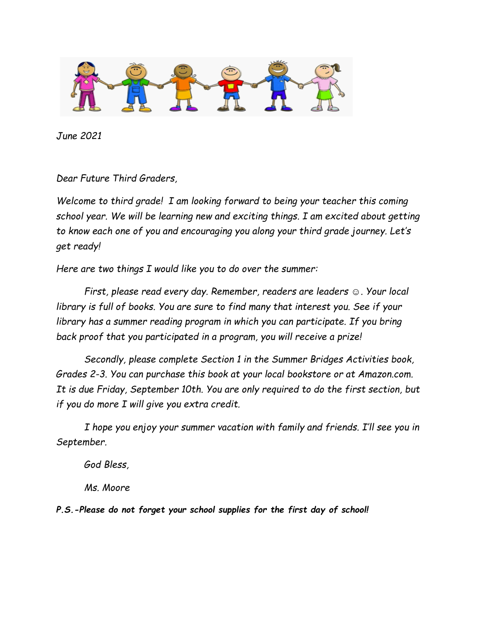

*June 2021*

*Dear Future Third Graders,*

*Welcome to third grade! I am looking forward to being your teacher this coming school year. We will be learning new and exciting things. I am excited about getting to know each one of you and encouraging you along your third grade journey. Let's get ready!*

*Here are two things I would like you to do over the summer:*

*First, please read every day. Remember, readers are leaders ☺. Your local library is full of books. You are sure to find many that interest you. See if your library has a summer reading program in which you can participate. If you bring back proof that you participated in a program, you will receive a prize!*

*Secondly, please complete Section 1 in the Summer Bridges Activities book, Grades 2-3. You can purchase this book at your local bookstore or at Amazon.com. It is due Friday, September 10th. You are only required to do the first section, but if you do more I will give you extra credit.*

*I hope you enjoy your summer vacation with family and friends. I'll see you in September.*

*God Bless,*

*Ms. Moore*

*P.S.-Please do not forget your school supplies for the first day of school!*